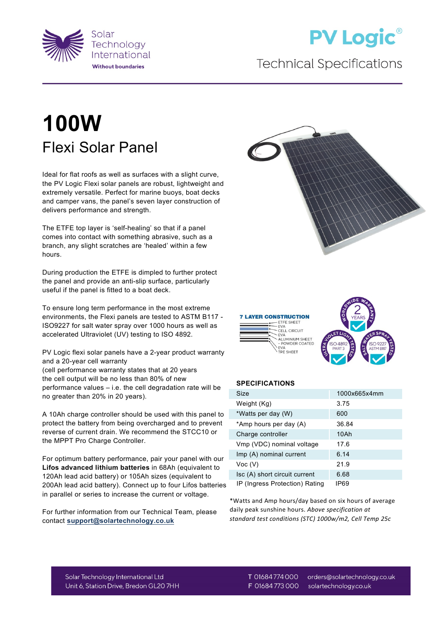

## **PV Logic®**

## **Technical Specifications**

## **100W** Flexi Solar Panel

Ideal for flat roofs as well as surfaces with a slight curve, the PV Logic Flexi solar panels are robust, lightweight and extremely versatile. Perfect for marine buoys, boat decks and camper vans, the panel's seven layer construction of delivers performance and strength.

The ETFE top layer is 'self-healing' so that if a panel comes into contact with something abrasive, such as a branch, any slight scratches are 'healed' within a few hours.

During production the ETFE is dimpled to further protect the panel and provide an anti-slip surface, particularly useful if the panel is fitted to a boat deck.

To ensure long term performance in the most extreme environments, the Flexi panels are tested to ASTM B117 - ISO9227 for salt water spray over 1000 hours as well as accelerated Ultraviolet (UV) testing to ISO 4892.

PV Logic flexi solar panels have a 2-year product warranty and a 20-year cell warranty

(cell performance warranty states that at 20 years the cell output will be no less than 80% of new performance values – i.e. the cell degradation rate will be no greater than 20% in 20 years).

A 10Ah charge controller should be used with this panel to protect the battery from being overcharged and to prevent reverse of current drain. We recommend the STCC10 or the MPPT Pro Charge Controller.

For optimum battery performance, pair your panel with our **Lifos advanced lithium batteries** in 68Ah (equivalent to 120Ah lead acid battery) or 105Ah sizes (equivalent to 200Ah lead acid battery). Connect up to four Lifos batteries in parallel or series to increase the current or voltage.

For further information from our Technical Team, please contact **[support@solartechnology.co.uk](mailto:support@solartechnology.co.uk)**







## **SPECIFICATIONS**

| Size                           | 1000x665x4mm |
|--------------------------------|--------------|
| Weight (Kg)                    | 3.75         |
| *Watts per day (W)             | 600          |
| *Amp hours per day (A)         | 36.84        |
| Charge controller              | 10Ah         |
| Vmp (VDC) nominal voltage      | 17.6         |
| Imp (A) nominal current        | 6.14         |
| Voc (V)                        | 21.9         |
| Isc (A) short circuit current  | 6.68         |
| IP (Ingress Protection) Rating | IP69         |

\*Watts and Amp hours/day based on six hours of average daily peak sunshine hours. *Above specification at standard test conditions (STC) 1000w/m2, Cell Temp 25c*